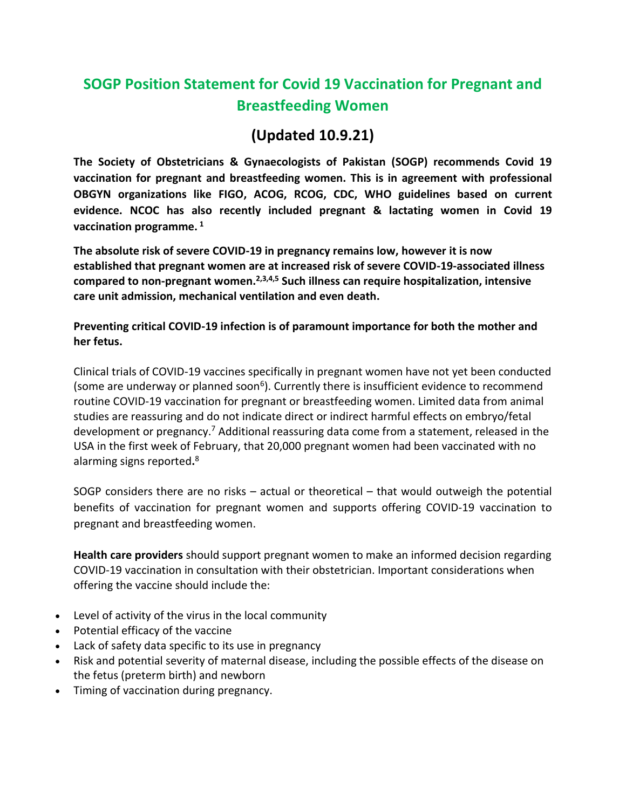## **SOGP Position Statement for Covid 19 Vaccination for Pregnant and Breastfeeding Women**

## **(Updated 10.9.21)**

**The Society of Obstetricians & Gynaecologists of Pakistan (SOGP) recommends Covid 19 vaccination for pregnant and breastfeeding women. This is in agreement with professional OBGYN organizations like FIGO, ACOG, RCOG, CDC, WHO guidelines based on current evidence. NCOC has also recently included pregnant & lactating women in Covid 19 vaccination programme. <sup>1</sup>**

**The absolute risk of severe COVID-19 in pregnancy remains low, however it is now established that pregnant women are at increased risk of severe COVID-19-associated illness compared to non-pregnant women.2,3,4,5 Such illness can require hospitalization, intensive care unit admission, mechanical ventilation and even death.** 

**Preventing critical COVID-19 infection is of paramount importance for both the mother and her fetus.**

Clinical trials of COVID-19 vaccines specifically in pregnant women have not yet been conducted (some are underway or planned soon<sup>6</sup>). Currently there is insufficient evidence to recommend routine COVID-19 vaccination for pregnant or breastfeeding women. Limited data from animal studies are reassuring and do not indicate direct or indirect harmful effects on embryo/fetal development or pregnancy.<sup>7</sup> Additional reassuring data come from a statement, released in the USA in the first week of February, that 20,000 pregnant women had been vaccinated with no alarming signs reported**.** 8

SOGP considers there are no risks – actual or theoretical – that would outweigh the potential benefits of vaccination for pregnant women and supports offering COVID-19 vaccination to pregnant and breastfeeding women.

**Health care providers** should support pregnant women to make an informed decision regarding COVID-19 vaccination in consultation with their obstetrician. Important considerations when offering the vaccine should include the:

- Level of activity of the virus in the local community
- Potential efficacy of the vaccine
- Lack of safety data specific to its use in pregnancy
- Risk and potential severity of maternal disease, including the possible effects of the disease on the fetus (preterm birth) and newborn
- Timing of vaccination during pregnancy.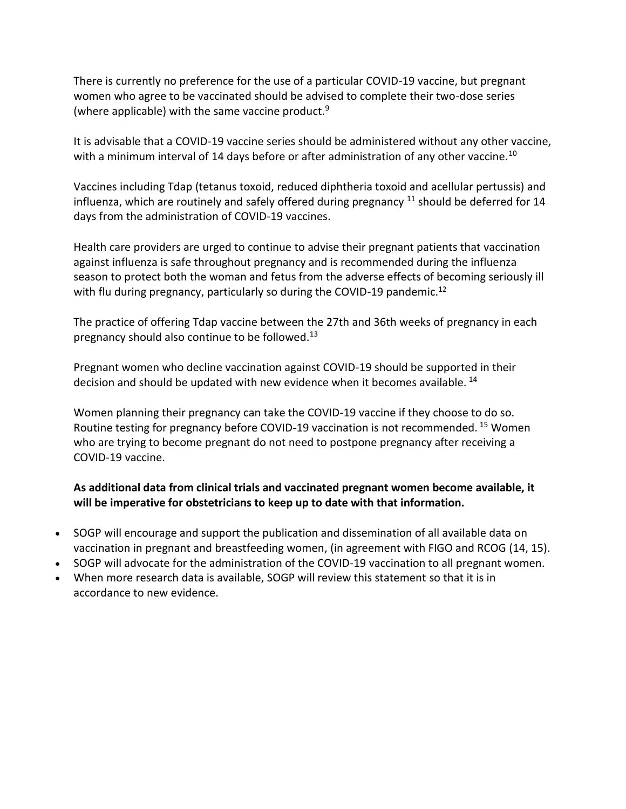There is currently no preference for the use of a particular COVID-19 vaccine, but pregnant women who agree to be vaccinated should be advised to complete their two-dose series (where applicable) with the same vaccine product. $9$ 

It is advisable that a COVID-19 vaccine series should be administered without any other vaccine, with a minimum interval of 14 days before or after administration of any other vaccine.<sup>10</sup>

Vaccines including Tdap (tetanus toxoid, reduced diphtheria toxoid and acellular pertussis) and influenza, which are routinely and safely offered during pregnancy  $^{11}$  should be deferred for 14 days from the administration of COVID-19 vaccines.

Health care providers are urged to continue to advise their pregnant patients that vaccination against influenza is safe throughout pregnancy and is recommended during the influenza season to protect both the woman and fetus from the adverse effects of becoming seriously ill with flu during pregnancy, particularly so during the COVID-19 pandemic.<sup>12</sup>

The practice of offering Tdap vaccine between the 27th and 36th weeks of pregnancy in each pregnancy should also continue to be followed.<sup>13</sup>

Pregnant women who decline vaccination against COVID-19 should be supported in their decision and should be updated with new evidence when it becomes available. <sup>14</sup>

Women planning their pregnancy can take the COVID-19 vaccine if they choose to do so. Routine testing for pregnancy before COVID-19 vaccination is not recommended. <sup>15</sup> Women who are trying to become pregnant do not need to postpone pregnancy after receiving a COVID-19 vaccine.

## **As additional data from clinical trials and vaccinated pregnant women become available, it will be imperative for obstetricians to keep up to date with that information.**

- SOGP will encourage and support the publication and dissemination of all available data on vaccination in pregnant and breastfeeding women, (in agreement with FIGO and RCOG (14, 15).
- SOGP will advocate for the administration of the COVID-19 vaccination to all pregnant women.
- When more research data is available, SOGP will review this statement so that it is in accordance to new evidence.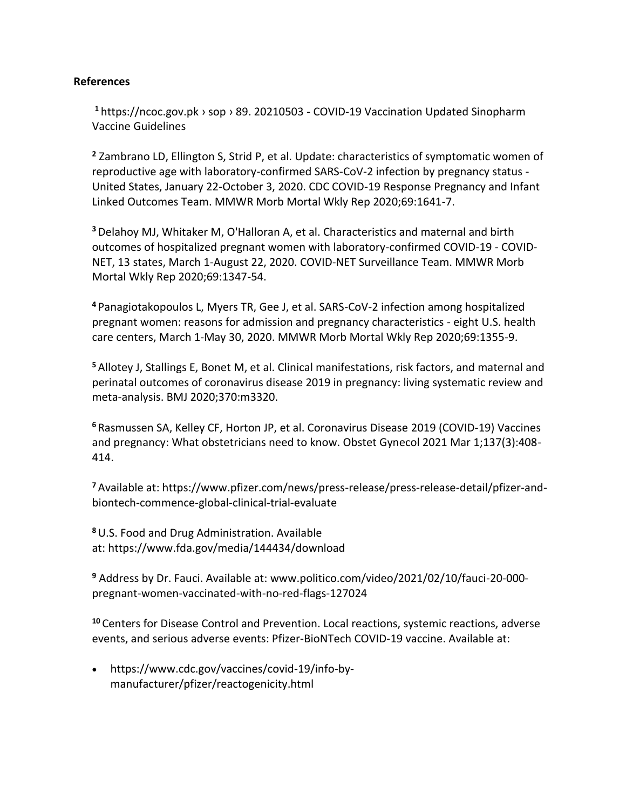## **References**

**<sup>1</sup>** https://ncoc.gov.pk › sop › 89. 20210503 - COVID-19 Vaccination Updated Sinopharm Vaccine Guidelines

**<sup>2</sup>** Zambrano LD, Ellington S, Strid P, et al. Update: characteristics of symptomatic women of reproductive age with laboratory-confirmed SARS-CoV-2 infection by pregnancy status - United States, January 22-October 3, 2020. CDC COVID-19 Response Pregnancy and Infant Linked Outcomes Team. MMWR Morb Mortal Wkly Rep 2020;69:1641-7.

**<sup>3</sup>**Delahoy MJ, Whitaker M, O'Halloran A, et al. Characteristics and maternal and birth outcomes of hospitalized pregnant women with laboratory-confirmed COVID-19 - COVID-NET, 13 states, March 1-August 22, 2020. COVID-NET Surveillance Team. MMWR Morb Mortal Wkly Rep 2020;69:1347-54.

**<sup>4</sup>** Panagiotakopoulos L, Myers TR, Gee J, et al. SARS-CoV-2 infection among hospitalized pregnant women: reasons for admission and pregnancy characteristics - eight U.S. health care centers, March 1-May 30, 2020. MMWR Morb Mortal Wkly Rep 2020;69:1355-9.

**<sup>5</sup>** Allotey J, Stallings E, Bonet M, et al. Clinical manifestations, risk factors, and maternal and perinatal outcomes of coronavirus disease 2019 in pregnancy: living systematic review and meta-analysis. BMJ 2020;370:m3320.

**<sup>6</sup>** Rasmussen SA, Kelley CF, Horton JP, et al. Coronavirus Disease 2019 (COVID-19) Vaccines and pregnancy: What obstetricians need to know. Obstet Gynecol 2021 Mar 1;137(3):408- 414.

**<sup>7</sup>** Available at: [https://www.pfizer.com/news/press-release/press-release-detail/pfizer-and](https://www.pfizer.com/news/press-release/press-release-detail/pfizer-and-biontech-commence-global-clinical-trial-evaluate)[biontech-commence-global-clinical-trial-evaluate](https://www.pfizer.com/news/press-release/press-release-detail/pfizer-and-biontech-commence-global-clinical-trial-evaluate)

**<sup>8</sup>**U.S. Food and Drug Administration. Available at: <https://www.fda.gov/media/144434/download>

**<sup>9</sup>** Address by Dr. Fauci. Available at: [www.politico.com/video/2021/02/10/fauci-20-000](http://www.politico.com/video/2021/02/10/fauci-20-000-pregnant-women-vaccinated-with-no-red-flags-127024) [pregnant-women-vaccinated-with-no-red-flags-127024](http://www.politico.com/video/2021/02/10/fauci-20-000-pregnant-women-vaccinated-with-no-red-flags-127024)

**<sup>10</sup>** Centers for Disease Control and Prevention. Local reactions, systemic reactions, adverse events, and serious adverse events: Pfizer-BioNTech COVID-19 vaccine. Available at:

• [https://www.cdc.gov/vaccines/covid-19/info-by](https://www.cdc.gov/vaccines/covid-19/info-by-manufacturer/pfizer/reactogenicity.html)[manufacturer/pfizer/reactogenicity.html](https://www.cdc.gov/vaccines/covid-19/info-by-manufacturer/pfizer/reactogenicity.html)